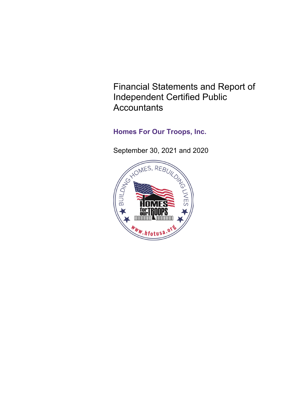Financial Statements and Report of Independent Certified Public **Accountants** 

# **Homes For Our Troops, Inc.**

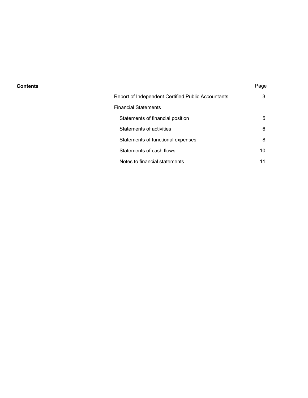#### **Contents** Page

| Report of Independent Certified Public Accountants | 3  |
|----------------------------------------------------|----|
| Financial Statements                               |    |
| Statements of financial position                   | 5  |
| Statements of activities                           | 6  |
| Statements of functional expenses                  | 8  |
| Statements of cash flows                           | 10 |
| Notes to financial statements                      |    |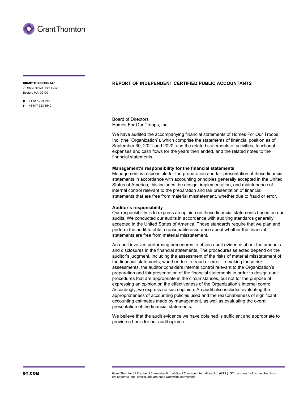

75 State Street, 13th Floor Boston, MA, 02109

 $\blacksquare$  +1 617 723 7900

 $F + 16177233640$ 

#### GRANT THORNTON LLP **REPORT OF INDEPENDENT CERTIFIED PUBLIC ACCOUNTANTS**

Board of Directors Homes For Our Troops, Inc.

We have audited the accompanying financial statements of Homes For Our Troops, Inc. (the "Organization"), which comprise the statements of financial position as of September 30, 2021 and 2020, and the related statements of activities, functional expenses and cash flows for the years then ended, and the related notes to the financial statements.

#### **Management's responsibility for the financial statements**

Management is responsible for the preparation and fair presentation of these financial statements in accordance with accounting principles generally accepted in the United States of America; this includes the design, implementation, and maintenance of internal control relevant to the preparation and fair presentation of financial statements that are free from material misstatement, whether due to fraud or error.

#### **Auditor's responsibility**

Our responsibility is to express an opinion on these financial statements based on our audits. We conducted our audits in accordance with auditing standards generally accepted in the United States of America. Those standards require that we plan and perform the audit to obtain reasonable assurance about whether the financial statements are free from material misstatement.

An audit involves performing procedures to obtain audit evidence about the amounts and disclosures in the financial statements. The procedures selected depend on the auditor's judgment, including the assessment of the risks of material misstatement of the financial statements, whether due to fraud or error. In making those risk assessments, the auditor considers internal control relevant to the Organization's preparation and fair presentation of the financial statements in order to design audit procedures that are appropriate in the circumstances, but not for the purpose of expressing an opinion on the effectiveness of the Organization's internal control. Accordingly, we express no such opinion. An audit also includes evaluating the appropriateness of accounting policies used and the reasonableness of significant accounting estimates made by management, as well as evaluating the overall presentation of the financial statements.

We believe that the audit evidence we have obtained is sufficient and appropriate to provide a basis for our audit opinion.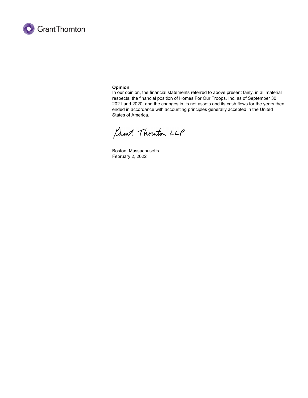

#### **Opinion**

In our opinion, the financial statements referred to above present fairly, in all material respects, the financial position of Homes For Our Troops, Inc. as of September 30, 2021 and 2020, and the changes in its net assets and its cash flows for the years then ended in accordance with accounting principles generally accepted in the United States of America.

Sant Thouton LLP

Boston, Massachusetts February 2, 2022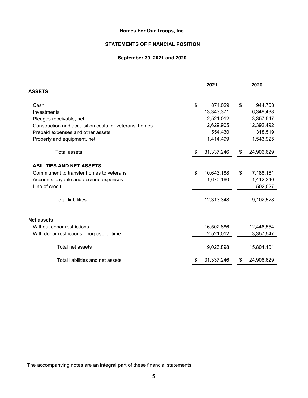## **STATEMENTS OF FINANCIAL POSITION**

## **September 30, 2021 and 2020**

|                                                        |    | 2021       | 2020             |
|--------------------------------------------------------|----|------------|------------------|
| <b>ASSETS</b>                                          |    |            |                  |
| Cash                                                   | \$ | 874,029    | \$<br>944,708    |
| Investments                                            |    | 13,343,371 | 6,349,438        |
| Pledges receivable, net                                |    | 2,521,012  | 3,357,547        |
| Construction and acquisition costs for veterans' homes |    | 12,629,905 | 12,392,492       |
| Prepaid expenses and other assets                      |    | 554,430    | 318,519          |
| Property and equipment, net                            |    | 1,414,499  | 1,543,925        |
| Total assets                                           | £. | 31,337,246 | \$<br>24,906,629 |
| <b>LIABILITIES AND NET ASSETS</b>                      |    |            |                  |
| Commitment to transfer homes to veterans               | \$ | 10,643,188 | \$<br>7,188,161  |
| Accounts payable and accrued expenses                  |    | 1,670,160  | 1,412,340        |
| Line of credit                                         |    |            | 502,027          |
| <b>Total liabilities</b>                               |    | 12,313,348 | 9,102,528        |
|                                                        |    |            |                  |
| <b>Net assets</b>                                      |    |            |                  |
| Without donor restrictions                             |    | 16,502,886 | 12,446,554       |
| With donor restrictions - purpose or time              |    | 2,521,012  | 3,357,547        |
| Total net assets                                       |    | 19,023,898 | 15,804,101       |
| Total liabilities and net assets                       | \$ | 31,337,246 | \$<br>24,906,629 |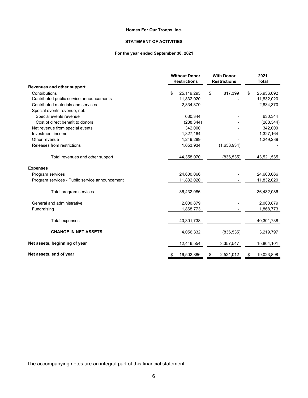#### **STATEMENT OF ACTIVITIES**

#### **For the year ended September 30, 2021**

|                                                | <b>Without Donor</b><br><b>Restrictions</b> | <b>With Donor</b><br><b>Restrictions</b> | 2021<br><b>Total</b> |
|------------------------------------------------|---------------------------------------------|------------------------------------------|----------------------|
| Revenues and other support                     |                                             |                                          |                      |
| Contributions                                  | \$<br>25,119,293                            | \$<br>817,399                            | 25,936,692<br>\$     |
| Contributed public service announcements       | 11,832,020                                  |                                          | 11,832,020           |
| Contributed materials and services             | 2,834,370                                   |                                          | 2,834,370            |
| Special events revenue, net:                   |                                             |                                          |                      |
| Special events revenue                         | 630,344                                     |                                          | 630,344              |
| Cost of direct benefit to donors               | (288, 344)                                  |                                          | (288, 344)           |
| Net revenue from special events                | 342,000                                     |                                          | 342,000              |
| Investment income                              | 1,327,164                                   |                                          | 1,327,164            |
| Other revenue                                  | 1,249,289                                   |                                          | 1,249,289            |
| Releases from restrictions                     | 1,653,934                                   | (1,653,934)                              |                      |
| Total revenues and other support               | 44,358,070                                  | (836, 535)                               | 43,521,535           |
| <b>Expenses</b>                                |                                             |                                          |                      |
| Program services                               | 24,600,066                                  |                                          | 24,600,066           |
| Program services - Public service announcement | 11,832,020                                  |                                          | 11,832,020           |
| Total program services                         | 36,432,086                                  |                                          | 36,432,086           |
| General and administrative                     | 2,000,879                                   |                                          | 2,000,879            |
| Fundraising                                    | 1,868,773                                   |                                          | 1,868,773            |
| Total expenses                                 | 40,301,738                                  |                                          | 40,301,738           |
| <b>CHANGE IN NET ASSETS</b>                    | 4,056,332                                   | (836, 535)                               | 3,219,797            |
| Net assets, beginning of year                  | 12,446,554                                  | 3,357,547                                | 15,804,101           |
| Net assets, end of year                        | 16,502,886<br>\$                            | 2,521,012<br>\$                          | 19,023,898<br>\$.    |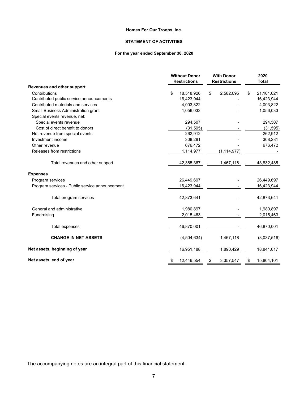#### **STATEMENT OF ACTIVITIES**

#### **For the year ended September 30, 2020**

|                                                |                  | <b>Without Donor</b><br><b>Restrictions</b> | <b>With Donor</b><br><b>Restrictions</b> |    | 2020<br><b>Total</b> |
|------------------------------------------------|------------------|---------------------------------------------|------------------------------------------|----|----------------------|
| <b>Revenues and other support</b>              |                  |                                             |                                          |    |                      |
| Contributions                                  | \$<br>18,518,926 | \$                                          | 2,582,095                                | \$ | 21,101,021           |
| Contributed public service announcements       | 16,423,944       |                                             |                                          |    | 16,423,944           |
| Contributed materials and services             |                  | 4,003,822                                   |                                          |    | 4,003,822            |
| Small Business Administration grant            |                  | 1,056,033                                   |                                          |    | 1,056,033            |
| Special events revenue, net:                   |                  |                                             |                                          |    |                      |
| Special events revenue                         |                  | 294,507                                     |                                          |    | 294,507              |
| Cost of direct benefit to donors               |                  | (31, 595)                                   |                                          |    | (31, 595)            |
| Net revenue from special events                |                  | 262,912                                     |                                          |    | 262,912              |
| Investment income                              |                  | 308,281                                     |                                          |    | 308,281              |
| Other revenue                                  |                  | 676,472                                     |                                          |    | 676,472              |
| Releases from restrictions                     |                  | 1,114,977                                   | (1, 114, 977)                            |    |                      |
| Total revenues and other support               | 42,365,367       |                                             | 1,467,118                                |    | 43,832,485           |
| <b>Expenses</b>                                |                  |                                             |                                          |    |                      |
| Program services                               | 26,449,697       |                                             |                                          |    | 26,449,697           |
| Program services - Public service announcement | 16,423,944       |                                             |                                          |    | 16,423,944           |
| Total program services                         | 42,873,641       |                                             |                                          |    | 42,873,641           |
| General and administrative                     |                  | 1,980,897                                   |                                          |    | 1,980,897            |
| Fundraising                                    |                  | 2,015,463                                   |                                          |    | 2,015,463            |
| Total expenses                                 | 46,870,001       |                                             |                                          |    | 46,870,001           |
| <b>CHANGE IN NET ASSETS</b>                    |                  | (4,504,634)                                 | 1,467,118                                |    | (3,037,516)          |
| Net assets, beginning of year                  | 16,951,188       |                                             | 1,890,429                                |    | 18,841,617           |
| Net assets, end of year                        | 12,446,554<br>S  | S                                           | 3,357,547                                | S  | 15,804,101           |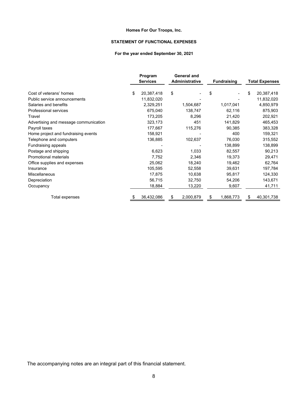#### **STATEMENT OF FUNCTIONAL EXPENSES**

#### **For the year ended September 30, 2021**

|                                       | Program<br><b>Services</b> |    | <b>General and</b><br>Administrative | <b>Fundraising</b> | <b>Total Expenses</b> |
|---------------------------------------|----------------------------|----|--------------------------------------|--------------------|-----------------------|
| Cost of veterans' homes               | \$<br>20,387,418           | \$ |                                      | \$                 | \$<br>20,387,418      |
| Public service announcements          | 11,832,020                 |    |                                      |                    | 11,832,020            |
| Salaries and benefits                 | 2,329,251                  |    | 1,504,687                            | 1,017,041          | 4,850,979             |
| <b>Professional services</b>          | 675,040                    |    | 138,747                              | 62,116             | 875,903               |
| Travel                                | 173,205                    |    | 8,296                                | 21,420             | 202,921               |
| Advertising and message communication | 323,173                    |    | 451                                  | 141,829            | 465,453               |
| Payroll taxes                         | 177,667                    |    | 115,276                              | 90,385             | 383,328               |
| Home project and fundraising events   | 158,921                    |    |                                      | 400                | 159,321               |
| Telephone and computers               | 136,885                    |    | 102,637                              | 76,030             | 315,552               |
| Fundraising appeals                   |                            |    |                                      | 138,899            | 138,899               |
| Postage and shipping                  | 6,623                      |    | 1,033                                | 82,557             | 90,213                |
| <b>Promotional materials</b>          | 7,752                      |    | 2,346                                | 19,373             | 29,471                |
| Office supplies and expenses          | 25,062                     |    | 18,240                               | 19,462             | 62,764                |
| Insurance                             | 105,595                    |    | 52,558                               | 39,631             | 197,784               |
| Miscellaneous                         | 17,875                     |    | 10,638                               | 95,817             | 124,330               |
| Depreciation                          | 56,715                     |    | 32,750                               | 54,206             | 143,671               |
| Occupancy                             | 18,884                     |    | 13,220                               | 9,607              | 41,711                |
| Total expenses                        | 36,432,086                 | S  | 2,000,879                            | 1,868,773          | 40,301,738            |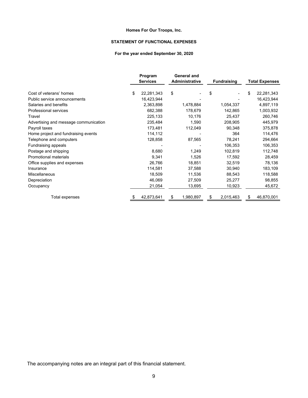#### **STATEMENT OF FUNCTIONAL EXPENSES**

#### **For the year ended September 30, 2020**

|                                       | Program<br><b>Services</b> |    | <b>General and</b><br>Administrative | <b>Fundraising</b> | <b>Total Expenses</b> |
|---------------------------------------|----------------------------|----|--------------------------------------|--------------------|-----------------------|
| Cost of veterans' homes               | \$<br>22,281,343           | \$ |                                      | \$                 | \$<br>22,281,343      |
| Public service announcements          | 16,423,944                 |    |                                      |                    | 16,423,944            |
| Salaries and benefits                 | 2,363,898                  |    | 1,478,884                            | 1,054,337          | 4,897,119             |
| Professional services                 | 682,388                    |    | 178,679                              | 142,865            | 1,003,932             |
| Travel                                | 225,133                    |    | 10,176                               | 25,437             | 260,746               |
| Advertising and message communication | 235,484                    |    | 1,590                                | 208,905            | 445,979               |
| Payroll taxes                         | 173,481                    |    | 112,049                              | 90,348             | 375,878               |
| Home project and fundraising events   | 114,112                    |    |                                      | 364                | 114,476               |
| Telephone and computers               | 128,858                    |    | 87,565                               | 78,241             | 294,664               |
| Fundraising appeals                   |                            |    |                                      | 106,353            | 106,353               |
| Postage and shipping                  | 8,680                      |    | 1,249                                | 102,819            | 112,748               |
| <b>Promotional materials</b>          | 9,341                      |    | 1,526                                | 17,592             | 28,459                |
| Office supplies and expenses          | 26,766                     |    | 18,851                               | 32,519             | 78,136                |
| Insurance                             | 114,581                    |    | 37,588                               | 30,940             | 183,109               |
| Miscellaneous                         | 18,509                     |    | 11,536                               | 88,543             | 118,588               |
| Depreciation                          | 46,069                     |    | 27,509                               | 25,277             | 98,855                |
| Occupancy                             | 21,054                     |    | 13,695                               | 10,923             | 45,672                |
| Total expenses                        | 42,873,641                 | S  | 1,980,897                            | 2,015,463          | 46,870,001            |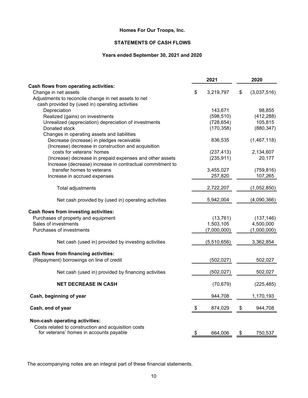## **STATEMENTS OF CASH FLOWS**

## **Years ended September 30, 2021 and 2020**

|                                                                                                                                  | 2021                     | 2020                  |
|----------------------------------------------------------------------------------------------------------------------------------|--------------------------|-----------------------|
| Cash flows from operating activities:                                                                                            |                          |                       |
| Change in net assets                                                                                                             | \$<br>3,219,797          | \$<br>(3,037,516)     |
| Adjustments to reconcile change in net assets to net                                                                             |                          |                       |
| cash provided by (used in) operating activities                                                                                  |                          |                       |
| Depreciation                                                                                                                     | 143,671                  | 98,855                |
| Realized (gains) on investments                                                                                                  | (598, 510)               | (412, 288)            |
| Unrealized (appreciation) depreciation of investments<br>Donated stock                                                           | (728, 654)<br>(170, 358) | 105,815<br>(880, 347) |
| Changes in operating assets and liabilities                                                                                      |                          |                       |
| Decrease (increase) in pledges receivable                                                                                        | 836,535                  | (1,467,118)           |
| (Increase) decrease in construction and acquisition                                                                              |                          |                       |
| costs for veterans' homes                                                                                                        | (237, 413)               | 2,134,607             |
| (Increase) decrease in prepaid expenses and other assets<br>Increase (decrease) increase in contractual commitment to            | (235, 911)               | 20,177                |
| transfer homes to veterans                                                                                                       | 3,455,027                | (759, 816)            |
| Increase in accrued expenses                                                                                                     | 257,820                  | 107,265               |
| Total adjustments                                                                                                                | 2,722,207                | (1,052,850)           |
| Net cash provided by (used in) operating activities                                                                              | 5,942,004                | (4,090,366)           |
| Cash flows from investing activities:                                                                                            |                          |                       |
| Purchases of property and equipment                                                                                              | (13, 761)                | (137, 146)            |
| Sales of investments                                                                                                             | 1,503,105                | 4,500,000             |
| Purchases of investments                                                                                                         | (7,000,000)              | (1,000,000)           |
| Net cash (used in) provided by investing activities                                                                              | (5,510,656)              | 3,362,854             |
| <b>Cash flows from financing activities:</b>                                                                                     |                          |                       |
| (Repayment) borrowings on line of credit                                                                                         | (502, 027)               | 502,027               |
| Net cash (used in) provided by financing activities                                                                              | (502, 027)               | 502,027               |
| <b>NET DECREASE IN CASH</b>                                                                                                      | (70, 679)                | (225, 485)            |
| Cash, beginning of year                                                                                                          | 944,708                  | 1,170,193             |
| Cash, end of year                                                                                                                | \$<br>874,029            | \$<br>944,708         |
| Non-cash operating activities:<br>Costs related to construction and acquisition costs<br>for veterans' homes in accounts payable | \$<br>664,006            | \$<br>750,537         |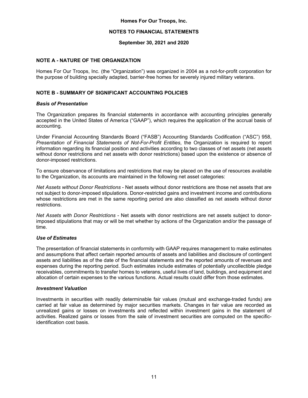#### **NOTES TO FINANCIAL STATEMENTS**

#### **September 30, 2021 and 2020**

#### **NOTE A - NATURE OF THE ORGANIZATION**

Homes For Our Troops, Inc. (the "Organization") was organized in 2004 as a not-for-profit corporation for the purpose of building specially adapted, barrier-free homes for severely injured military veterans.

#### **NOTE B - SUMMARY OF SIGNIFICANT ACCOUNTING POLICIES**

#### *Basis of Presentation*

The Organization prepares its financial statements in accordance with accounting principles generally accepted in the United States of America ("GAAP"), which requires the application of the accrual basis of accounting.

Under Financial Accounting Standards Board ("FASB") Accounting Standards Codification ("ASC") 958, *Presentation of Financial Statements of Not-For-Profit Entities*, the Organization is required to report information regarding its financial position and activities according to two classes of net assets (net assets without donor restrictions and net assets with donor restrictions) based upon the existence or absence of donor-imposed restrictions.

To ensure observance of limitations and restrictions that may be placed on the use of resources available to the Organization, its accounts are maintained in the following net asset categories:

*Net Assets without Donor Restrictions* - Net assets without donor restrictions are those net assets that are not subject to donor-imposed stipulations. Donor-restricted gains and investment income and contributions whose restrictions are met in the same reporting period are also classified as net assets without donor restrictions.

*Net Assets with Donor Restrictions* - Net assets with donor restrictions are net assets subject to donorimposed stipulations that may or will be met whether by actions of the Organization and/or the passage of time.

#### *Use of Estimates*

The presentation of financial statements in conformity with GAAP requires management to make estimates and assumptions that affect certain reported amounts of assets and liabilities and disclosure of contingent assets and liabilities as of the date of the financial statements and the reported amounts of revenues and expenses during the reporting period. Such estimates include estimates of potentially uncollectible pledge receivables, commitments to transfer homes to veterans, useful lives of land, buildings, and equipment and allocation of certain expenses to the various functions. Actual results could differ from those estimates.

#### *Investment Valuation*

Investments in securities with readily determinable fair values (mutual and exchange-traded funds) are carried at fair value as determined by major securities markets. Changes in fair value are recorded as unrealized gains or losses on investments and reflected within investment gains in the statement of activities. Realized gains or losses from the sale of investment securities are computed on the specificidentification cost basis.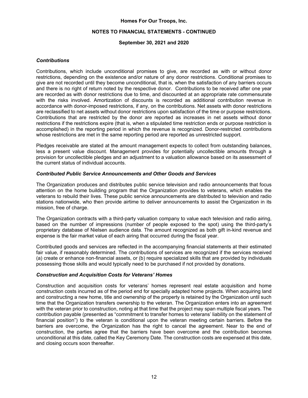#### **NOTES TO FINANCIAL STATEMENTS - CONTINUED**

#### **September 30, 2021 and 2020**

#### *Contributions*

Contributions, which include unconditional promises to give, are recorded as with or without donor restrictions, depending on the existence and/or nature of any donor restrictions. Conditional promises to give are not recorded until they become unconditional, that is, when the satisfaction of any barriers occurs and there is no right of return noted by the respective donor. Contributions to be received after one year are recorded as with donor restrictions due to time, and discounted at an appropriate rate commensurate with the risks involved. Amortization of discounts is recorded as additional contribution revenue in accordance with donor-imposed restrictions, if any, on the contributions. Net assets with donor restrictions are reclassified to net assets without donor restrictions upon satisfaction of the time or purpose restrictions. Contributions that are restricted by the donor are reported as increases in net assets without donor restrictions if the restrictions expire (that is, when a stipulated time restriction ends or purpose restriction is accomplished) in the reporting period in which the revenue is recognized. Donor-restricted contributions whose restrictions are met in the same reporting period are reported as unrestricted support.

Pledges receivable are stated at the amount management expects to collect from outstanding balances, less a present value discount. Management provides for potentially uncollectible amounts through a provision for uncollectible pledges and an adjustment to a valuation allowance based on its assessment of the current status of individual accounts.

#### *Contributed Public Service Announcements and Other Goods and Services*

The Organization produces and distributes public service television and radio announcements that focus attention on the home building program that the Organization provides to veterans, which enables the veterans to rebuild their lives. These public service announcements are distributed to television and radio stations nationwide, who then provide airtime to deliver announcements to assist the Organization in its mission, free of charge.

The Organization contracts with a third-party valuation company to value each television and radio airing, based on the number of impressions (number of people exposed to the spot) using the third-party's proprietary database of Nielsen audience data. The amount recognized as both gift in-kind revenue and expense is the fair market value of each airing that occurred during the fiscal year.

Contributed goods and services are reflected in the accompanying financial statements at their estimated fair value, if reasonably determined. The contributions of services are recognized if the services received (a) create or enhance non-financial assets, or (b) require specialized skills that are provided by individuals possessing those skills and would typically need to be purchased if not provided by donations.

#### *Construction and Acquisition Costs for Veterans' Homes*

Construction and acquisition costs for veterans' homes represent real estate acquisition and home construction costs incurred as of the period end for specially adapted home projects. When acquiring land and constructing a new home, title and ownership of the property is retained by the Organization until such time that the Organization transfers ownership to the veteran. The Organization enters into an agreement with the veteran prior to construction, noting at that time that the project may span multiple fiscal years. The contribution payable (presented as "commitment to transfer homes to veterans' liability on the statement of financial position") to the veteran is conditional upon the veteran meeting certain barriers. Before the barriers are overcome, the Organization has the right to cancel the agreement. Near to the end of construction, the parties agree that the barriers have been overcome and the contribution becomes unconditional at this date, called the Key Ceremony Date. The construction costs are expensed at this date, and closing occurs soon thereafter.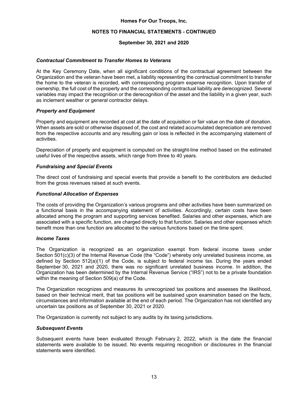#### **NOTES TO FINANCIAL STATEMENTS - CONTINUED**

#### **September 30, 2021 and 2020**

#### *Contractual Commitment to Transfer Homes to Veterans*

At the Key Ceremony Date, when all significant conditions of the contractual agreement between the Organization and the veteran have been met, a liability representing the contractual commitment to transfer the home to the veteran is recorded, with corresponding program expense recognition. Upon transfer of ownership, the full cost of the property and the corresponding contractual liability are derecognized. Several variables may impact the recognition or the derecognition of the asset and the liability in a given year, such as inclement weather or general contractor delays.

#### *Property and Equipment*

Property and equipment are recorded at cost at the date of acquisition or fair value on the date of donation. When assets are sold or otherwise disposed of, the cost and related accumulated depreciation are removed from the respective accounts and any resulting gain or loss is reflected in the accompanying statement of activities.

Depreciation of property and equipment is computed on the straight-line method based on the estimated useful lives of the respective assets, which range from three to 40 years.

#### *Fundraising and Special Events*

The direct cost of fundraising and special events that provide a benefit to the contributors are deducted from the gross revenues raised at such events.

#### *Functional Allocation of Expenses*

The costs of providing the Organization's various programs and other activities have been summarized on a functional basis in the accompanying statement of activities. Accordingly, certain costs have been allocated among the program and supporting services benefited. Salaries and other expenses, which are associated with a specific function, are charged directly to that function. Salaries and other expenses which benefit more than one function are allocated to the various functions based on the time spent.

#### *Income Taxes*

The Organization is recognized as an organization exempt from federal income taxes under Section 501(c)(3) of the Internal Revenue Code (the "Code") whereby only unrelated business income, as defined by Section 512(a)(1) of the Code, is subject to federal income tax. During the years ended September 30, 2021 and 2020, there was no significant unrelated business income. In addition, the Organization has been determined by the Internal Revenue Service ("IRS") not to be a private foundation within the meaning of Section 509(a) of the Code.

The Organization recognizes and measures its unrecognized tax positions and assesses the likelihood, based on their technical merit, that tax positions will be sustained upon examination based on the facts, circumstances and information available at the end of each period. The Organization has not identified any uncertain tax positions as of September 30, 2021 or 2020.

The Organization is currently not subject to any audits by its taxing jurisdictions.

#### *Subsequent Events*

Subsequent events have been evaluated through February 2, 2022, which is the date the financial statements were available to be issued. No events requiring recognition or disclosures in the financial statements were identified.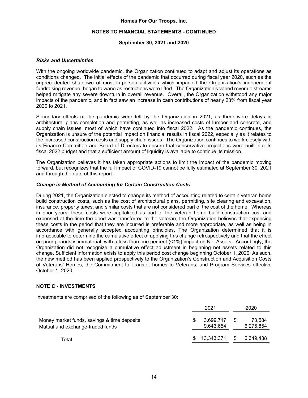#### **NOTES TO FINANCIAL STATEMENTS - CONTINUED**

#### **September 30, 2021 and 2020**

#### *Risks and Uncertainties*

With the ongoing worldwide pandemic, the Organization continued to adapt and adjust its operations as conditions changed. The initial effects of the pandemic that occurred during fiscal year 2020, such as the unprecedented shutdown of most in-person activities which impacted the Organization's independent fundraising revenue, began to wane as restrictions were lifted. The Organization's varied revenue streams helped mitigate any severe downturn in overall revenue. Overall, the Organization withstood any major impacts of the pandemic, and in fact saw an increase in cash contributions of nearly 23% from fiscal year 2020 to 2021.

Secondary effects of the pandemic were felt by the Organization in 2021, as there were delays in architectural plans completion and permitting, as well as increased costs of lumber and concrete, and supply chain issues, most of which have continued into fiscal 2022. As the pandemic continues, the Organization is unsure of the potential impact on financial results in fiscal 2022, especially as it relates to the increased construction costs and supply chain issues. The Organization continues to work closely with its Finance Committee and Board of Directors to ensure that conservative projections were built into its fiscal 2022 budget and that a sufficient amount of liquidity is available to continue its mission.

The Organization believes it has taken appropriate actions to limit the impact of the pandemic moving forward, but recognizes that the full impact of COVID-19 cannot be fully estimated at September 30, 2021 and through the date of this report.

#### *Change in Method of Accounting for Certain Construction Costs*

During 2021, the Organization elected to change its method of accounting related to certain veteran home build construction costs, such as the cost of architectural plans, permitting, site clearing and excavation, insurance, property taxes, and similar costs that are not considered part of the cost of the home. Whereas in prior years, these costs were capitalized as part of the veteran home build construction cost and expensed at the time the deed was transferred to the veteran, the Organization believes that expensing these costs in the period that they are incurred is preferable and more appropriate, as well as being in accordance with generally accepted accounting principles. The Organization determined that it is impracticable to determine the cumulative effect of applying this change retrospectively and that the effect on prior periods is immaterial, with a less than one percent (<1%) impact on Net Assets. Accordingly, the Organization did not recognize a cumulative effect adjustment in beginning net assets related to this change. Sufficient information exists to apply this period cost change beginning October 1, 2020. As such, the new method has been applied prospectively to the Organization's Construction and Acquisition Costs of Veterans' Homes, the Commitment to Transfer homes to Veterans, and Program Services effective October 1, 2020.

#### **NOTE C - INVESTMENTS**

Investments are comprised of the following as of September 30:

|                                                                                 |   | 2021                   |      | 2020                |
|---------------------------------------------------------------------------------|---|------------------------|------|---------------------|
| Money market funds, savings & time deposits<br>Mutual and exchange-traded funds | S | 3,699,717<br>9.643.654 | - \$ | 73.584<br>6,275,854 |
| Total                                                                           |   | 13,343,371             |      | 6,349,438           |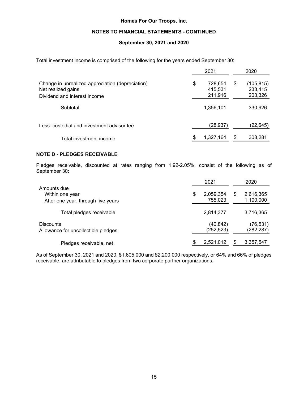#### **NOTES TO FINANCIAL STATEMENTS - CONTINUED**

#### **September 30, 2021 and 2020**

Total investment income is comprised of the following for the years ended September 30:

|                                                                                                        |    | 2020                          |    |                                 |
|--------------------------------------------------------------------------------------------------------|----|-------------------------------|----|---------------------------------|
| Change in unrealized appreciation (depreciation)<br>Net realized gains<br>Dividend and interest income | \$ | 728,654<br>415.531<br>211,916 | \$ | (105,815)<br>233,415<br>203,326 |
| Subtotal                                                                                               |    | 1,356,101                     |    | 330,926                         |
| Less: custodial and investment advisor fee                                                             |    | (28, 937)                     |    | (22, 645)                       |
| Total investment income                                                                                | \$ | 1,327,164                     | \$ | 308,281                         |

#### **NOTE D - PLEDGES RECEIVABLE**

Pledges receivable, discounted at rates ranging from 1.92-2.05%, consist of the following as of September 30:

|                                                                      | 2021                       |   | 2020                    |
|----------------------------------------------------------------------|----------------------------|---|-------------------------|
| Amounts due<br>Within one year<br>After one year, through five years | \$<br>2,059,354<br>755,023 | S | 2,616,365<br>1,100,000  |
| Total pledges receivable                                             | 2,814,377                  |   | 3,716,365               |
| <b>Discounts</b><br>Allowance for uncollectible pledges              | (40, 842)<br>(252, 523)    |   | (76, 531)<br>(282, 287) |
| Pledges receivable, net                                              | \$<br>2,521,012            |   | 3,357,547               |

As of September 30, 2021 and 2020, \$1,605,000 and \$2,200,000 respectively, or 64% and 66% of pledges receivable, are attributable to pledges from two corporate partner organizations.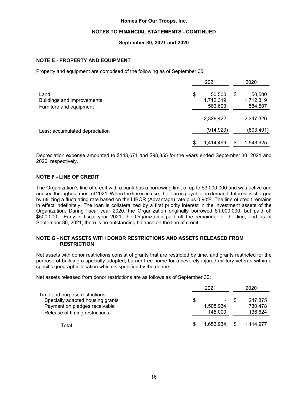#### **NOTES TO FINANCIAL STATEMENTS - CONTINUED**

#### **September 30, 2021 and 2020**

#### **NOTE E - PROPERTY AND EQUIPMENT**

Property and equipment are comprised of the following as of September 30:

|                                    | 2021                      | 2020                      |
|------------------------------------|---------------------------|---------------------------|
| Land<br>Buildings and improvements | \$<br>50,500<br>1,712,319 | \$<br>50,500<br>1,712,319 |
| Furniture and equipment            | 566,603                   | 584,507                   |
|                                    | 2,329,422                 | 2,347,326                 |
| Less: accumulated depreciation     | (914, 923)                | (803, 401)                |
|                                    | \$<br>1.414.499           | \$<br>1,543,925           |

Depreciation expense amounted to \$143,671 and \$98,855 for the years ended September 30, 2021 and 2020, respectively.

#### **NOTE F - LINE OF CREDIT**

The Organization's line of credit with a bank has a borrowing limit of up to \$3,000,000 and was active and unused throughout most of 2021. When the line is in use, the loan is payable on demand. Interest is charged by utilizing a fluctuating rate based on the LIBOR (Advantage) rate plus 0.90%. The line of credit remains in effect indefinitely. The loan is collateralized by a first priority interest in the investment assets of the Organization. During fiscal year 2020, the Organization originally borrowed \$1,000,000, but paid off \$500,000. Early in fiscal year 2021, the Organization paid off the remainder of the line, and as of September 30, 2021, there is no outstanding balance on the line of credit.

#### **NOTE G - NET ASSETS WITH DONOR RESTRICTIONS AND ASSETS RELEASED FROM RESTRICTION**

Net assets with donor restrictions consist of grants that are restricted by time, and grants restricted for the purpose of building a specially adapted, barrier-free home for a severely injured military veteran within a specific geographic location which is specified by the donors.

Net assets released from donor restrictions are as follows as of September 30:

|                                                                                                                                      | 2021                            | 2020                          |
|--------------------------------------------------------------------------------------------------------------------------------------|---------------------------------|-------------------------------|
| Time and purpose restrictions<br>Specially adapted housing grants<br>Payment on pledges receivable<br>Release of timing restrictions | \$<br>۰<br>1,508,934<br>145,000 | 247.875<br>730,478<br>136,624 |
| Total                                                                                                                                | 1,653,934                       | 1,114,977                     |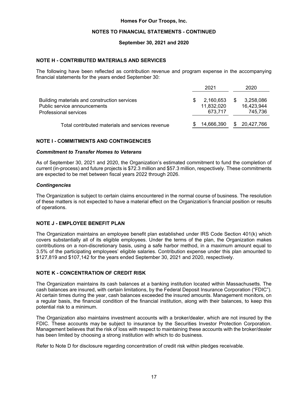#### **NOTES TO FINANCIAL STATEMENTS - CONTINUED**

#### **September 30, 2021 and 2020**

#### **NOTE H - CONTRIBUTED MATERIALS AND SERVICES**

The following have been reflected as contribution revenue and program expense in the accompanying financial statements for the years ended September 30:

|                                                                                                       | 2021                               |   | 2020                               |
|-------------------------------------------------------------------------------------------------------|------------------------------------|---|------------------------------------|
| Building materials and construction services<br>Public service announcements<br>Professional services | 2,160,653<br>11,832,020<br>673.717 |   | 3,258,086<br>16,423,944<br>745,736 |
| Total contributed materials and services revenue                                                      | 14,666,390                         | S | 20,427,766                         |

#### **NOTE I - COMMITMENTS AND CONTINGENCIES**

#### *Commitment to Transfer Homes to Veterans*

As of September 30, 2021 and 2020, the Organization's estimated commitment to fund the completion of current (in-process) and future projects is \$72.3 million and \$57.3 million, respectively. These commitments are expected to be met between fiscal years 2022 through 2026.

#### *Contingencies*

The Organization is subject to certain claims encountered in the normal course of business. The resolution of these matters is not expected to have a material effect on the Organization's financial position or results of operations.

#### **NOTE J - EMPLOYEE BENEFIT PLAN**

The Organization maintains an employee benefit plan established under IRS Code Section 401(k) which covers substantially all of its eligible employees. Under the terms of the plan, the Organization makes contributions on a non-discretionary basis, using a safe harbor method, in a maximum amount equal to 3.5% of the participating employees' eligible salaries. Contribution expense under this plan amounted to \$127,819 and \$107,142 for the years ended September 30, 2021 and 2020, respectively.

### **NOTE K - CONCENTRATION OF CREDIT RISK**

The Organization maintains its cash balances at a banking institution located within Massachusetts. The cash balances are insured, with certain limitations, by the Federal Deposit Insurance Corporation ("FDIC"). At certain times during the year, cash balances exceeded the insured amounts. Management monitors, on a regular basis, the financial condition of the financial institution, along with their balances, to keep this potential risk to a minimum.

The Organization also maintains investment accounts with a broker/dealer, which are not insured by the FDIC. These accounts may be subject to insurance by the Securities Investor Protection Corporation. Management believes that the risk of loss with respect to maintaining these accounts with the broker/dealer has been limited by choosing a strong institution with which to do business.

Refer to Note D for disclosure regarding concentration of credit risk within pledges receivable.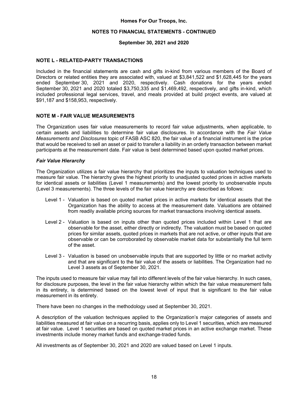#### **NOTES TO FINANCIAL STATEMENTS - CONTINUED**

#### **September 30, 2021 and 2020**

#### **NOTE L - RELATED-PARTY TRANSACTIONS**

Included in the financial statements are cash and gifts in-kind from various members of the Board of Directors or related entities they are associated with, valued at \$3,841,522 and \$1,628,445 for the years ended September 30, 2021 and 2020, respectively. Cash donations for the years ended September 30, 2021 and 2020 totaled \$3,750,335 and \$1,469,492, respectively, and gifts in-kind, which included professional legal services, travel, and meals provided at build project events, are valued at \$91,187 and \$158,953, respectively.

#### **NOTE M - FAIR VALUE MEASUREMENTS**

The Organization uses fair value measurements to record fair value adjustments, when applicable, to certain assets and liabilities to determine fair value disclosures. In accordance with the *Fair Value Measurements and Disclosures* topic of FASB ASC 820, the fair value of a financial instrument is the price that would be received to sell an asset or paid to transfer a liability in an orderly transaction between market participants at the measurement date. Fair value is best determined based upon quoted market prices.

#### *Fair Value Hierarchy*

The Organization utilizes a fair value hierarchy that prioritizes the inputs to valuation techniques used to measure fair value. The hierarchy gives the highest priority to unadjusted quoted prices in active markets for identical assets or liabilities (Level 1 measurements) and the lowest priority to unobservable inputs (Level 3 measurements). The three levels of the fair value hierarchy are described as follows:

- Level 1 Valuation is based on quoted market prices in active markets for identical assets that the Organization has the ability to access at the measurement date. Valuations are obtained from readily available pricing sources for market transactions involving identical assets.
- Level 2 Valuation is based on inputs other than quoted prices included within Level 1 that are observable for the asset, either directly or indirectly. The valuation must be based on quoted prices for similar assets, quoted prices in markets that are not active, or other inputs that are observable or can be corroborated by observable market data for substantially the full term of the asset.
- Level 3 Valuation is based on unobservable inputs that are supported by little or no market activity and that are significant to the fair value of the assets or liabilities. The Organization had no Level 3 assets as of September 30, 2021.

The inputs used to measure fair value may fall into different levels of the fair value hierarchy. In such cases, for disclosure purposes, the level in the fair value hierarchy within which the fair value measurement falls in its entirety, is determined based on the lowest level of input that is significant to the fair value measurement in its entirety.

There have been no changes in the methodology used at September 30, 2021.

A description of the valuation techniques applied to the Organization's major categories of assets and liabilities measured at fair value on a recurring basis, applies only to Level 1 securities, which are measured at fair value. Level 1 securities are based on quoted market prices in an active exchange market. These investments include money market funds and exchange-traded funds.

All investments as of September 30, 2021 and 2020 are valued based on Level 1 inputs.